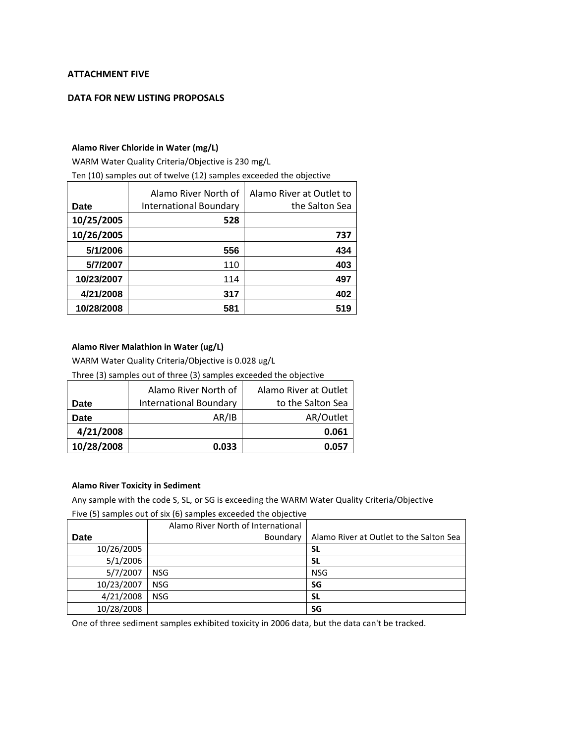## **ATTACHMENT FIVE**

## **DATA FOR NEW LISTING PROPOSALS**

#### **Alamo River Chloride in Water (mg/L)**

WARM Water Quality Criteria/Objective is 230 mg/L

Ten (10) samples out of twelve (12) samples exceeded the objective

| Date       | Alamo River North of<br>International Boundary | Alamo River at Outlet to<br>the Salton Sea |
|------------|------------------------------------------------|--------------------------------------------|
| 10/25/2005 | 528                                            |                                            |
| 10/26/2005 |                                                | 737                                        |
| 5/1/2006   | 556                                            | 434                                        |
| 5/7/2007   | 110                                            | 403                                        |
| 10/23/2007 | 114                                            | 497                                        |
| 4/21/2008  | 317                                            | 402                                        |
| 10/28/2008 | 581                                            | 519                                        |

#### **Alamo River Malathion in Water (ug/L)**

WARM Water Quality Criteria/Objective is 0.028 ug/L

Three (3) samples out of three (3) samples exceeded the objective

|             | Alamo River North of          | Alamo River at Outlet |
|-------------|-------------------------------|-----------------------|
| Date        | <b>International Boundary</b> | to the Salton Sea     |
| <b>Date</b> | AR/IB                         | AR/Outlet             |
| 4/21/2008   |                               | 0.061                 |
| 10/28/2008  | 0.033                         | 0.057                 |

#### **Alamo River Toxicity in Sediment**

Any sample with the code S, SL, or SG is exceeding the WARM Water Quality Criteria/Objective

| Five (5) samples out of six (6) samples exceeded the objective |                                    |                                         |  |
|----------------------------------------------------------------|------------------------------------|-----------------------------------------|--|
|                                                                | Alamo River North of International |                                         |  |
| Date                                                           | Boundary                           | Alamo River at Outlet to the Salton Sea |  |
| 10/26/2005                                                     |                                    | SL                                      |  |
| 5/1/2006                                                       |                                    | SL                                      |  |
| 5/7/2007                                                       | <b>NSG</b>                         | <b>NSG</b>                              |  |
| 10/23/2007                                                     | <b>NSG</b>                         | SG                                      |  |
| 4/21/2008                                                      | <b>NSG</b>                         | SL                                      |  |
| 10/28/2008                                                     |                                    | SG                                      |  |

One of three sediment samples exhibited toxicity in 2006 data, but the data can't be tracked.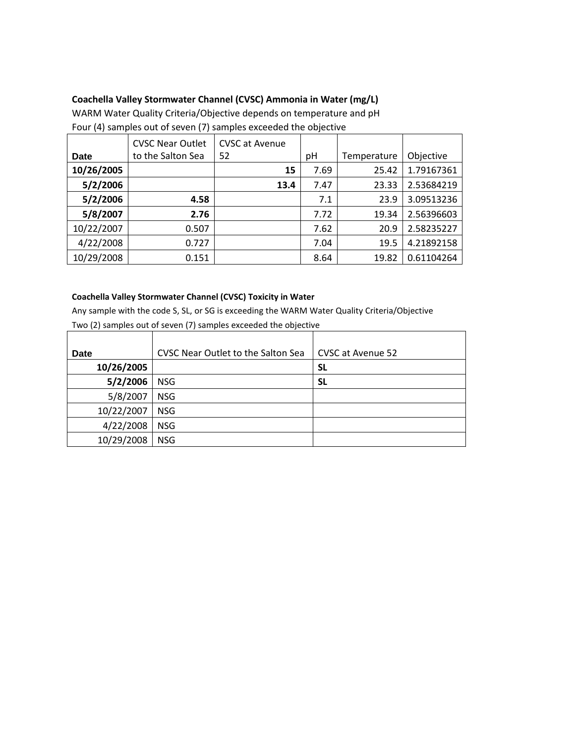# **Coachella Valley Stormwater Channel (CVSC) Ammonia in Water (mg/L)**

WARM Water Quality Criteria/Objective depends on temperature and pH Four (4) samples out of seven (7) samples exceeded the objective

|            | <b>CVSC Near Outlet</b> | <b>CVSC at Avenue</b> |      |             |            |
|------------|-------------------------|-----------------------|------|-------------|------------|
| Date       | to the Salton Sea       | 52                    | рH   | Temperature | Objective  |
| 10/26/2005 |                         | 15                    | 7.69 | 25.42       | 1.79167361 |
| 5/2/2006   |                         | 13.4                  | 7.47 | 23.33       | 2.53684219 |
| 5/2/2006   | 4.58                    |                       | 7.1  | 23.9        | 3.09513236 |
| 5/8/2007   | 2.76                    |                       | 7.72 | 19.34       | 2.56396603 |
| 10/22/2007 | 0.507                   |                       | 7.62 | 20.9        | 2.58235227 |
| 4/22/2008  | 0.727                   |                       | 7.04 | 19.5        | 4.21892158 |
| 10/29/2008 | 0.151                   |                       | 8.64 | 19.82       | 0.61104264 |

### **Coachella Valley Stormwater Channel (CVSC) Toxicity in Water**

Any sample with the code S, SL, or SG is exceeding the WARM Water Quality Criteria/Objective

| Date       | CVSC Near Outlet to the Salton Sea | CVSC at Avenue 52 |
|------------|------------------------------------|-------------------|
| 10/26/2005 |                                    | SL                |
| 5/2/2006   | <b>NSG</b>                         | <b>SL</b>         |
| 5/8/2007   | <b>NSG</b>                         |                   |
| 10/22/2007 | <b>NSG</b>                         |                   |
| 4/22/2008  | <b>NSG</b>                         |                   |
| 10/29/2008 | <b>NSG</b>                         |                   |

Two (2) samples out of seven (7) samples exceeded the objective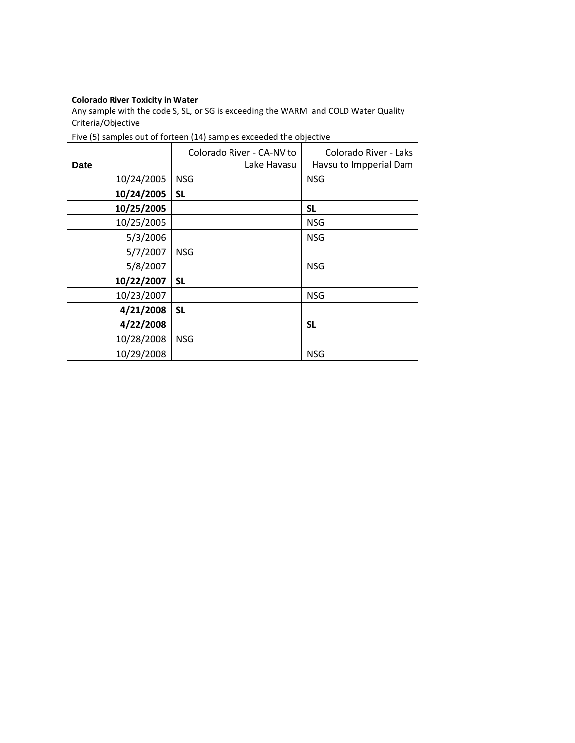## **Colorado River Toxicity in Water**

Any sample with the code S, SL, or SG is exceeding the WARM and COLD Water Quality Criteria/Objective

| Date       | Colorado River - CA-NV to<br>Lake Havasu | Colorado River - Laks<br>Havsu to Impperial Dam |
|------------|------------------------------------------|-------------------------------------------------|
| 10/24/2005 | <b>NSG</b>                               | <b>NSG</b>                                      |
| 10/24/2005 | <b>SL</b>                                |                                                 |
| 10/25/2005 |                                          | SL                                              |
| 10/25/2005 |                                          | <b>NSG</b>                                      |
| 5/3/2006   |                                          | <b>NSG</b>                                      |
| 5/7/2007   | <b>NSG</b>                               |                                                 |
| 5/8/2007   |                                          | <b>NSG</b>                                      |
| 10/22/2007 | <b>SL</b>                                |                                                 |
| 10/23/2007 |                                          | <b>NSG</b>                                      |
| 4/21/2008  | <b>SL</b>                                |                                                 |
| 4/22/2008  |                                          | SL                                              |
| 10/28/2008 | <b>NSG</b>                               |                                                 |
| 10/29/2008 |                                          | <b>NSG</b>                                      |

## Five (5) samples out of forteen (14) samples exceeded the objective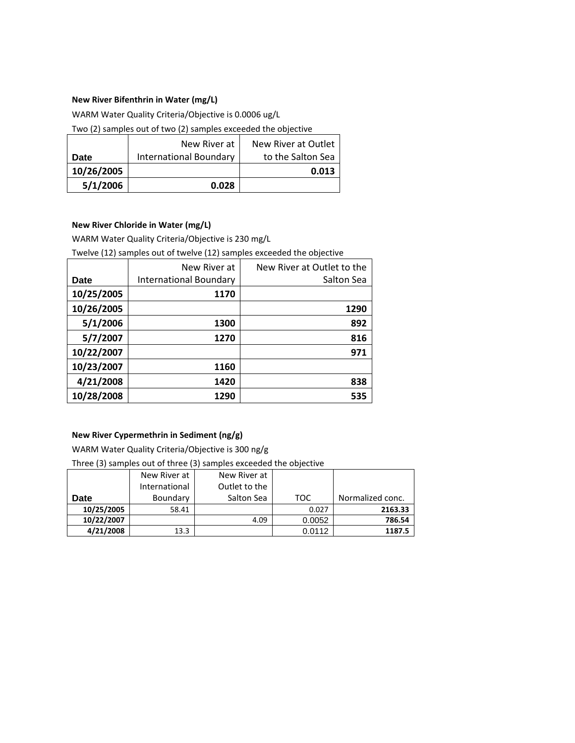### **New River Bifenthrin in Water (mg/L)**

WARM Water Quality Criteria/Objective is 0.0006 ug/L

Two (2) samples out of two (2) samples exceeded the objective

|            | New River at           | New River at Outlet |
|------------|------------------------|---------------------|
| Date       | International Boundary | to the Salton Sea   |
| 10/26/2005 |                        | 0.013               |
| 5/1/2006   | 0.028                  |                     |

#### **New River Chloride in Water (mg/L)**

WARM Water Quality Criteria/Objective is 230 mg/L

Twelve (12) samples out of twelve (12) samples exceeded the objective

|            | New River at                  | New River at Outlet to the |
|------------|-------------------------------|----------------------------|
| Date       | <b>International Boundary</b> | Salton Sea                 |
| 10/25/2005 | 1170                          |                            |
| 10/26/2005 |                               | 1290                       |
| 5/1/2006   | 1300                          | 892                        |
| 5/7/2007   | 1270                          | 816                        |
| 10/22/2007 |                               | 971                        |
| 10/23/2007 | 1160                          |                            |
| 4/21/2008  | 1420                          | 838                        |
| 10/28/2008 | 1290                          | 535                        |

# **New River Cypermethrin in Sediment (ng/g)**

WARM Water Quality Criteria/Objective is 300 ng/g

Three (3) samples out of three (3) samples exceeded the objective

|             | New River at  | New River at  |        |                  |
|-------------|---------------|---------------|--------|------------------|
|             | International | Outlet to the |        |                  |
| <b>Date</b> | Boundary      | Salton Sea    | TOC    | Normalized conc. |
| 10/25/2005  | 58.41         |               | 0.027  | 2163.33          |
| 10/22/2007  |               | 4.09          | 0.0052 | 786.54           |
| 4/21/2008   | 13.3          |               | 0.0112 | 1187.5           |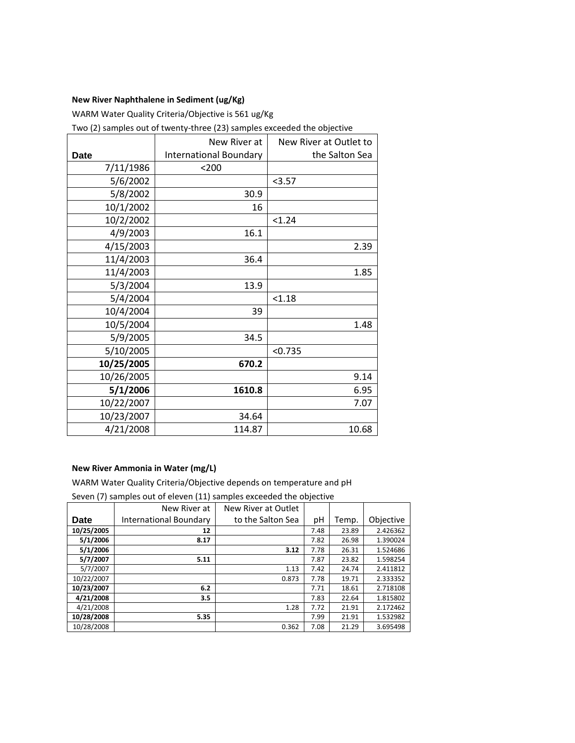## **New River Naphthalene in Sediment (ug/Kg)**

WARM Water Quality Criteria/Objective is 561 ug/Kg

Two (2) samples out of twenty-three (23) samples exceeded the objective

|            | New River at                  | New River at Outlet to |
|------------|-------------------------------|------------------------|
| Date       | <b>International Boundary</b> | the Salton Sea         |
| 7/11/1986  | $<$ 200                       |                        |
| 5/6/2002   |                               | < 3.57                 |
| 5/8/2002   | 30.9                          |                        |
| 10/1/2002  | 16                            |                        |
| 10/2/2002  |                               | < 1.24                 |
| 4/9/2003   | 16.1                          |                        |
| 4/15/2003  |                               | 2.39                   |
| 11/4/2003  | 36.4                          |                        |
| 11/4/2003  |                               | 1.85                   |
| 5/3/2004   | 13.9                          |                        |
| 5/4/2004   |                               | < 1.18                 |
| 10/4/2004  | 39                            |                        |
| 10/5/2004  |                               | 1.48                   |
| 5/9/2005   | 34.5                          |                        |
| 5/10/2005  |                               | < 0.735                |
| 10/25/2005 | 670.2                         |                        |
| 10/26/2005 |                               | 9.14                   |
| 5/1/2006   | 1610.8                        | 6.95                   |
| 10/22/2007 |                               | 7.07                   |
| 10/23/2007 | 34.64                         |                        |
| 4/21/2008  | 114.87                        | 10.68                  |

#### **New River Ammonia in Water (mg/L)**

WARM Water Quality Criteria/Objective depends on temperature and pH

Seven (7) samples out of eleven (11) samples exceeded the objective

|            | New River at           | New River at Outlet |      |       |           |
|------------|------------------------|---------------------|------|-------|-----------|
| Date       | International Boundary | to the Salton Sea   | рH   | Temp. | Objective |
| 10/25/2005 | 12                     |                     | 7.48 | 23.89 | 2.426362  |
| 5/1/2006   | 8.17                   |                     | 7.82 | 26.98 | 1.390024  |
| 5/1/2006   |                        | 3.12                | 7.78 | 26.31 | 1.524686  |
| 5/7/2007   | 5.11                   |                     | 7.87 | 23.82 | 1.598254  |
| 5/7/2007   |                        | 1.13                | 7.42 | 24.74 | 2.411812  |
| 10/22/2007 |                        | 0.873               | 7.78 | 19.71 | 2.333352  |
| 10/23/2007 | 6.2                    |                     | 7.71 | 18.61 | 2.718108  |
| 4/21/2008  | 3.5                    |                     | 7.83 | 22.64 | 1.815802  |
| 4/21/2008  |                        | 1.28                | 7.72 | 21.91 | 2.172462  |
| 10/28/2008 | 5.35                   |                     | 7.99 | 21.91 | 1.532982  |
| 10/28/2008 |                        | 0.362               | 7.08 | 21.29 | 3.695498  |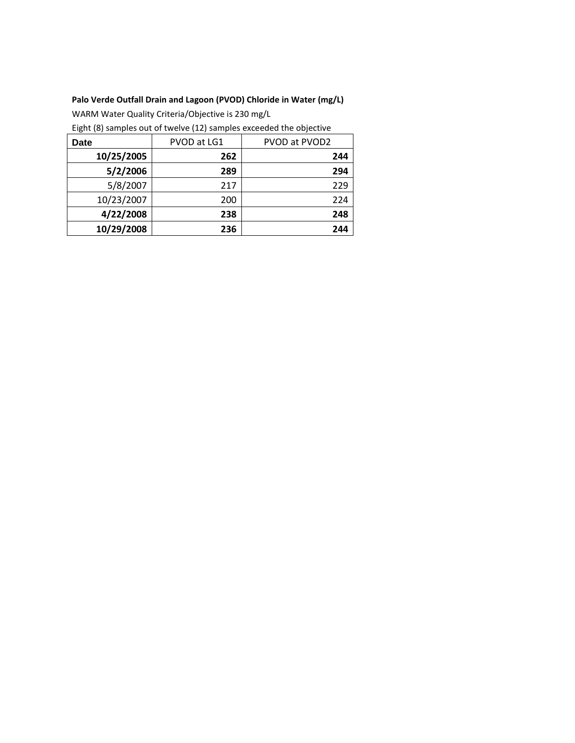# **Palo Verde Outfall Drain and Lagoon (PVOD) Chloride in Water (mg/L)**

WARM Water Quality Criteria/Objective is 230 mg/L

Eight (8) samples out of twelve (12) samples exceeded the objective

| Date       | PVOD at LG1 | PVOD at PVOD2 |
|------------|-------------|---------------|
| 10/25/2005 | 262         | 244           |
| 5/2/2006   | 289         | 294           |
| 5/8/2007   | 217         | 229           |
| 10/23/2007 | 200         | 224           |
| 4/22/2008  | 238         | 248           |
| 10/29/2008 | 236         | 244           |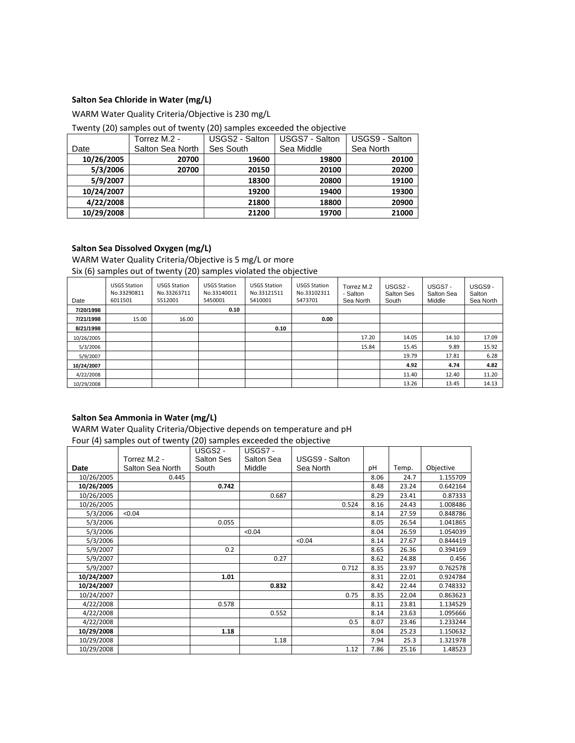## **Salton Sea Chloride in Water (mg/L)**

WARM Water Quality Criteria/Objective is 230 mg/L

| Twenty (20) samples out of twenty (20) samples exceeded the objective |  |  |  |
|-----------------------------------------------------------------------|--|--|--|
|-----------------------------------------------------------------------|--|--|--|

|            | Torrez M.2 -     | USGS2 - Salton | USGS7 - Salton | USGS9 - Salton |
|------------|------------------|----------------|----------------|----------------|
| Date       | Salton Sea North | Ses South      | Sea Middle     | Sea North      |
| 10/26/2005 | 20700            | 19600          | 19800          | 20100          |
| 5/3/2006   | 20700            | 20150          | 20100          | 20200          |
| 5/9/2007   |                  | 18300          | 20800          | 19100          |
| 10/24/2007 |                  | 19200          | 19400          | 19300          |
| 4/22/2008  |                  | 21800          | 18800          | 20900          |
| 10/29/2008 |                  | 21200          | 19700          | 21000          |

## **Salton Sea Dissolved Oxygen (mg/L)**

WARM Water Quality Criteria/Objective is 5 mg/L or more Six (6) samples out of twenty (20) samples violated the objective

| Date       | <b>USGS Station</b><br>No.33290811<br>6011501 | <b>USGS Station</b><br>No.33263711<br>5512001 | <b>USGS Station</b><br>No.33140011<br>5450001 | <b>USGS Station</b><br>No.33121511<br>5410001 | <b>USGS Station</b><br>No.33102311<br>5473701 | Torrez M.2<br>- Salton<br>Sea North | USGS <sub>2</sub> -<br><b>Salton Ses</b><br>South | USGS7-<br>Salton Sea<br>Middle | USGS9-<br>Salton<br>Sea North |
|------------|-----------------------------------------------|-----------------------------------------------|-----------------------------------------------|-----------------------------------------------|-----------------------------------------------|-------------------------------------|---------------------------------------------------|--------------------------------|-------------------------------|
| 7/20/1998  |                                               |                                               | 0.10                                          |                                               |                                               |                                     |                                                   |                                |                               |
| 7/21/1998  | 15.00                                         | 16.00                                         |                                               |                                               | 0.00                                          |                                     |                                                   |                                |                               |
| 8/21/1998  |                                               |                                               |                                               | 0.10                                          |                                               |                                     |                                                   |                                |                               |
| 10/26/2005 |                                               |                                               |                                               |                                               |                                               | 17.20                               | 14.05                                             | 14.10                          | 17.09                         |
| 5/3/2006   |                                               |                                               |                                               |                                               |                                               | 15.84                               | 15.45                                             | 9.89                           | 15.92                         |
| 5/9/2007   |                                               |                                               |                                               |                                               |                                               |                                     | 19.79                                             | 17.81                          | 6.28                          |
| 10/24/2007 |                                               |                                               |                                               |                                               |                                               |                                     | 4.92                                              | 4.74                           | 4.82                          |
| 4/22/2008  |                                               |                                               |                                               |                                               |                                               |                                     | 11.40                                             | 12.40                          | 11.20                         |
| 10/29/2008 |                                               |                                               |                                               |                                               |                                               |                                     | 13.26                                             | 13.45                          | 14.13                         |

# **Salton Sea Ammonia in Water (mg/L)**

WARM Water Quality Criteria/Objective depends on temperature and pH

Four (4) samples out of twenty (20) samples exceeded the objective

|            |                  | USGS <sub>2</sub> - | USGS7 -    |                |      |       |           |
|------------|------------------|---------------------|------------|----------------|------|-------|-----------|
|            | Torrez M.2 -     | <b>Salton Ses</b>   | Salton Sea | USGS9 - Salton |      |       |           |
| Date       | Salton Sea North | South               | Middle     | Sea North      | pH   | Temp. | Objective |
| 10/26/2005 | 0.445            |                     |            |                | 8.06 | 24.7  | 1.155709  |
| 10/26/2005 |                  | 0.742               |            |                | 8.48 | 23.24 | 0.642164  |
| 10/26/2005 |                  |                     | 0.687      |                | 8.29 | 23.41 | 0.87333   |
| 10/26/2005 |                  |                     |            | 0.524          | 8.16 | 24.43 | 1.008486  |
| 5/3/2006   | < 0.04           |                     |            |                | 8.14 | 27.59 | 0.848786  |
| 5/3/2006   |                  | 0.055               |            |                | 8.05 | 26.54 | 1.041865  |
| 5/3/2006   |                  |                     | < 0.04     |                | 8.04 | 26.59 | 1.054039  |
| 5/3/2006   |                  |                     |            | < 0.04         | 8.14 | 27.67 | 0.844419  |
| 5/9/2007   |                  | 0.2                 |            |                | 8.65 | 26.36 | 0.394169  |
| 5/9/2007   |                  |                     | 0.27       |                | 8.62 | 24.88 | 0.456     |
| 5/9/2007   |                  |                     |            | 0.712          | 8.35 | 23.97 | 0.762578  |
| 10/24/2007 |                  | 1.01                |            |                | 8.31 | 22.01 | 0.924784  |
| 10/24/2007 |                  |                     | 0.832      |                | 8.42 | 22.44 | 0.748332  |
| 10/24/2007 |                  |                     |            | 0.75           | 8.35 | 22.04 | 0.863623  |
| 4/22/2008  |                  | 0.578               |            |                | 8.11 | 23.81 | 1.134529  |
| 4/22/2008  |                  |                     | 0.552      |                | 8.14 | 23.63 | 1.095666  |
| 4/22/2008  |                  |                     |            | 0.5            | 8.07 | 23.46 | 1.233244  |
| 10/29/2008 |                  | 1.18                |            |                | 8.04 | 25.23 | 1.150632  |
| 10/29/2008 |                  |                     | 1.18       |                | 7.94 | 25.3  | 1.321978  |
| 10/29/2008 |                  |                     |            | 1.12           | 7.86 | 25.16 | 1.48523   |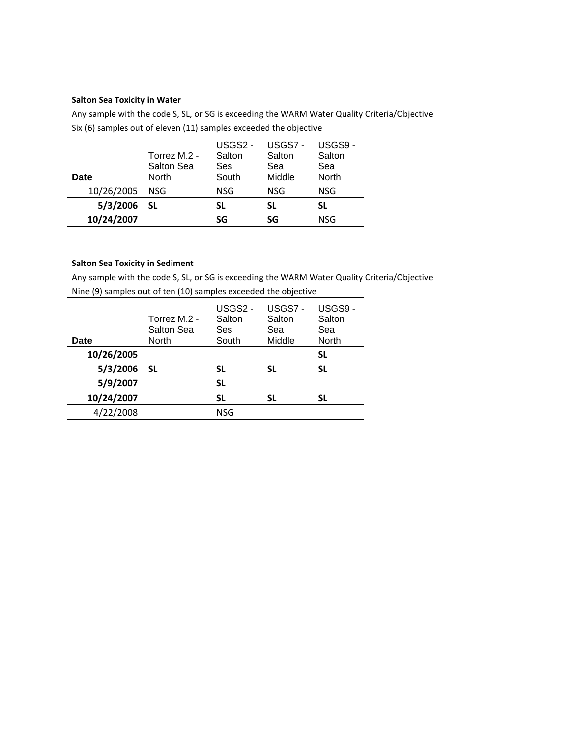#### **Salton Sea Toxicity in Water**

Any sample with the code S, SL, or SG is exceeding the WARM Water Quality Criteria/Objective Six (6) samples out of eleven (11) samples exceeded the objective

| Date       | Torrez M.2 -<br>Salton Sea<br>North | USGS2 -<br>Salton<br>Ses<br>South | USGS7-<br>Salton<br>Sea<br>Middle | USGS9-<br>Salton<br>Sea<br>North |
|------------|-------------------------------------|-----------------------------------|-----------------------------------|----------------------------------|
| 10/26/2005 | <b>NSG</b>                          | <b>NSG</b>                        | <b>NSG</b>                        | <b>NSG</b>                       |
| 5/3/2006   | SL                                  | <b>SL</b>                         | SL                                | SL                               |
| 10/24/2007 |                                     | SG                                | SG                                | <b>NSG</b>                       |

# **Salton Sea Toxicity in Sediment**

Any sample with the code S, SL, or SG is exceeding the WARM Water Quality Criteria/Objective

Nine (9) samples out of ten (10) samples exceeded the objective

| Date       | Torrez M.2 -<br>Salton Sea<br>North | USGS2 -<br>Salton<br>Ses<br>South | USGS7-<br>Salton<br>Sea<br>Middle | USGS9-<br>Salton<br>Sea<br>North |
|------------|-------------------------------------|-----------------------------------|-----------------------------------|----------------------------------|
| 10/26/2005 |                                     |                                   |                                   | SL                               |
| 5/3/2006   | SL                                  | <b>SL</b>                         | SL                                | <b>SL</b>                        |
| 5/9/2007   |                                     | <b>SL</b>                         |                                   |                                  |
| 10/24/2007 |                                     | <b>SL</b>                         | SL                                | SL                               |
| 4/22/2008  |                                     | <b>NSG</b>                        |                                   |                                  |